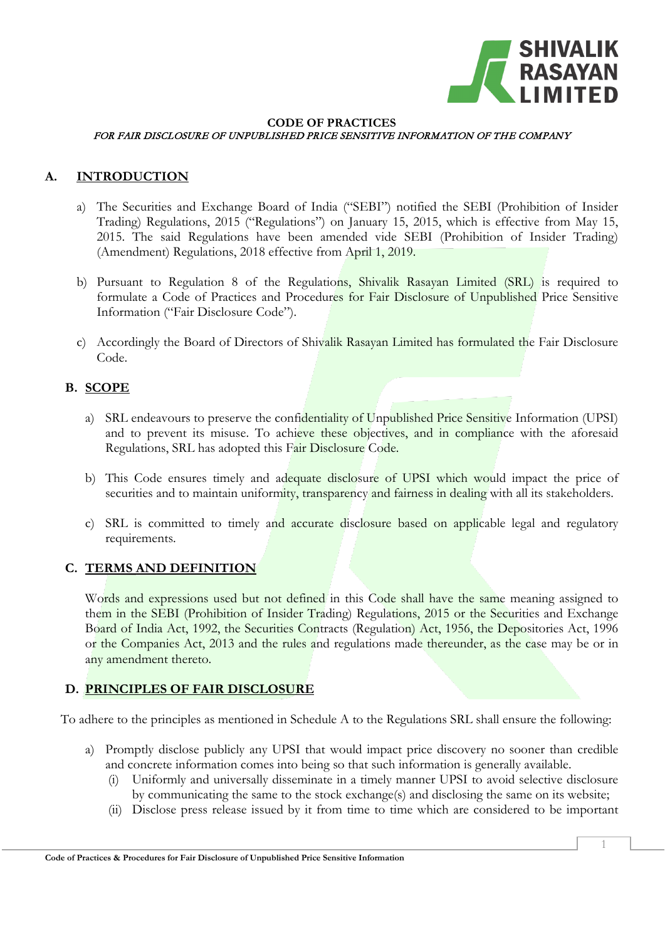

#### **CODE OF PRACTICES** FOR FAIR DISCLOSURE OF UNPUBLISHED PRICE SENSITIVE INFORMATION OF THE COMPANY

### **A. INTRODUCTION**

- a) The Securities and Exchange Board of India ("SEBI") notified the SEBI (Prohibition of Insider Trading) Regulations, 2015 ("Regulations") on January 15, 2015, which is effective from May 15, 2015. The said Regulations have been amended vide SEBI (Prohibition of Insider Trading) (Amendment) Regulations, 2018 effective from April 1, 2019.
- b) Pursuant to Regulation 8 of the Regulations, Shivalik Rasayan Limited (SRL) is required to formulate a Code of Practices and Procedures for Fair Disclosure of Unpublished Price Sensitive Information ("Fair Disclosure Code").
- c) Accordingly the Board of Directors of Shivalik Rasayan Limited has formulated the Fair Disclosure Code.

## **B. SCOPE**

- a) SRL endeavours to preserve the confidentiality of Unpublished Price Sensitive Information (UPSI) and to prevent its misuse. To achieve these objectives, and in compliance with the aforesaid Regulations, SRL has adopted this Fair Disclosure Code.
- b) This Code ensures timely and adequate disclosure of UPSI which would impact the price of securities and to maintain uniformity, transparency and fairness in dealing with all its stakeholders.
- c) SRL is committed to timely and accurate disclosure based on applicable legal and regulatory requirements.

#### **C. TERMS AND DEFINITION**

Words and expressions used but not defined in this Code shall have the same meaning assigned to them in the SEBI (Prohibition of Insider Trading) Regulations, 2015 or the Securities and Exchange Board of India Act, 1992, the Securities Contracts (Regulation) Act, 1956, the Depositories Act, 1996 or the Companies Act, 2013 and the rules and regulations made thereunder, as the case may be or in any amendment thereto.

# **D. PRINCIPLES OF FAIR DISCLOSURE**

To adhere to the principles as mentioned in Schedule A to the Regulations SRL shall ensure the following:

- a) Promptly disclose publicly any UPSI that would impact price discovery no sooner than credible and concrete information comes into being so that such information is generally available.
	- (i) Uniformly and universally disseminate in a timely manner UPSI to avoid selective disclosure by communicating the same to the stock exchange(s) and disclosing the same on its website;
	- (ii) Disclose press release issued by it from time to time which are considered to be important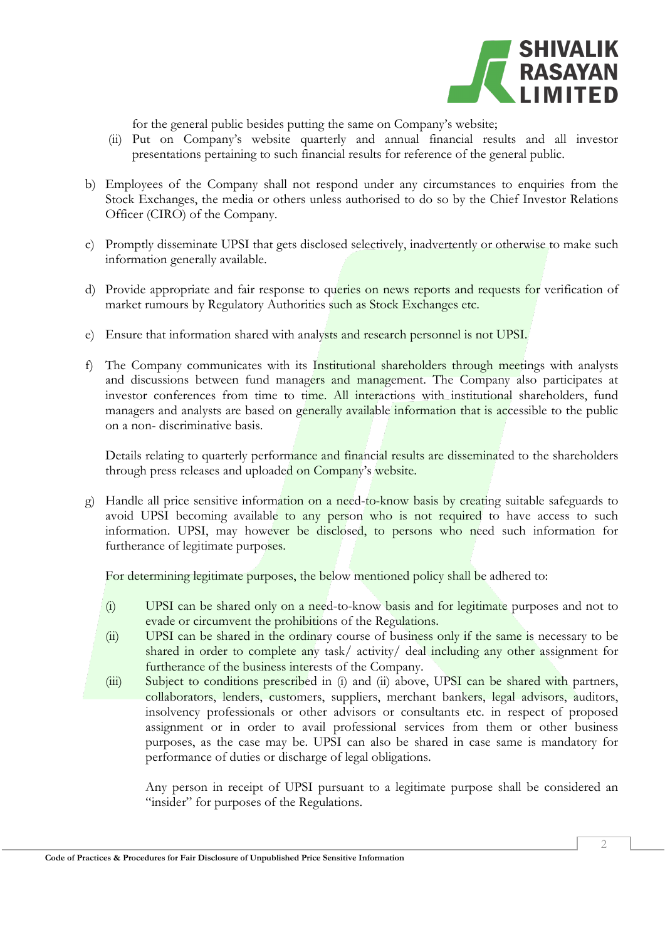

for the general public besides putting the same on Company's website;

- (ii) Put on Company's website quarterly and annual financial results and all investor presentations pertaining to such financial results for reference of the general public.
- b) Employees of the Company shall not respond under any circumstances to enquiries from the Stock Exchanges, the media or others unless authorised to do so by the Chief Investor Relations Officer (CIRO) of the Company.
- c) Promptly disseminate UPSI that gets disclosed selectively, inadvertently or otherwise to make such information generally available.
- d) Provide appropriate and fair response to queries on news reports and requests for verification of market rumours by Regulatory Authorities such as Stock Exchanges etc.
- e) Ensure that information shared with analysts and research personnel is not UPSI.
- f) The Company communicates with its Institutional shareholders through meetings with analysts and discussions between fund managers and management. The Company also participates at investor conferences from time to time. All interactions with institutional shareholders, fund managers and analysts are based on generally available information that is accessible to the public on a non- discriminative basis.

Details relating to quarterly performance and financial results are disseminated to the shareholders through press releases and uploaded on Company's website.

g) Handle all price sensitive information on a need-to-know basis by creating suitable safeguards to avoid UPSI becoming available to any person who is not required to have access to such information. UPSI, may however be disclosed, to persons who need such information for furtherance of legitimate purposes.

For determining legitimate purposes, the below mentioned policy shall be adhered to:

- (i) UPSI can be shared only on a need-to-know basis and for legitimate purposes and not to evade or circumvent the prohibitions of the Regulations.
- (ii) UPSI can be shared in the ordinary course of business only if the same is necessary to be shared in order to complete any task/ activity/ deal including any other assignment for furtherance of the business interests of the Company.
- (iii) Subject to conditions prescribed in (i) and (ii) above, UPSI can be shared with partners, collaborators, lenders, customers, suppliers, merchant bankers, legal advisors, auditors, insolvency professionals or other advisors or consultants etc. in respect of proposed assignment or in order to avail professional services from them or other business purposes, as the case may be. UPSI can also be shared in case same is mandatory for performance of duties or discharge of legal obligations.

Any person in receipt of UPSI pursuant to a legitimate purpose shall be considered an "insider" for purposes of the Regulations.